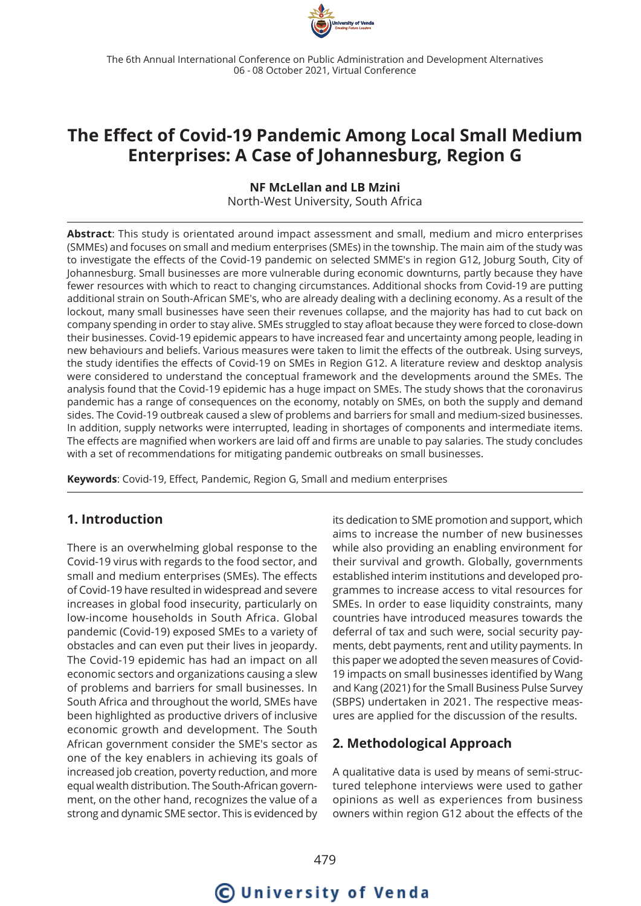

## **The Effect of Covid-19 Pandemic Among Local Small Medium Enterprises: A Case of Johannesburg, Region G**

#### **NF McLellan and LB Mzini**

North-West University, South Africa

**Abstract**: This study is orientated around impact assessment and small, medium and micro enterprises (SMMEs) and focuses on small and medium enterprises (SMEs) in the township. The main aim of the study was to investigate the effects of the Covid-19 pandemic on selected SMME's in region G12, Joburg South, City of Johannesburg. Small businesses are more vulnerable during economic downturns, partly because they have fewer resources with which to react to changing circumstances. Additional shocks from Covid-19 are putting additional strain on South-African SME's, who are already dealing with a declining economy. As a result of the lockout, many small businesses have seen their revenues collapse, and the majority has had to cut back on company spending in order to stay alive. SMEs struggled to stay afloat because they were forced to close-down their businesses. Covid-19 epidemic appears to have increased fear and uncertainty among people, leading in new behaviours and beliefs. Various measures were taken to limit the effects of the outbreak. Using surveys, the study identifies the effects of Covid-19 on SMEs in Region G12. A literature review and desktop analysis were considered to understand the conceptual framework and the developments around the SMEs. The analysis found that the Covid-19 epidemic has a huge impact on SMEs. The study shows that the coronavirus pandemic has a range of consequences on the economy, notably on SMEs, on both the supply and demand sides. The Covid-19 outbreak caused a slew of problems and barriers for small and medium-sized businesses. In addition, supply networks were interrupted, leading in shortages of components and intermediate items. The effects are magnified when workers are laid off and firms are unable to pay salaries. The study concludes with a set of recommendations for mitigating pandemic outbreaks on small businesses.

**Keywords**: Covid-19, Effect, Pandemic, Region G, Small and medium enterprises

## **1. Introduction**

There is an overwhelming global response to the Covid-19 virus with regards to the food sector, and small and medium enterprises (SMEs). The effects of Covid-19 have resulted in widespread and severe increases in global food insecurity, particularly on low-income households in South Africa. Global pandemic (Covid-19) exposed SMEs to a variety of obstacles and can even put their lives in jeopardy. The Covid-19 epidemic has had an impact on all economic sectors and organizations causing a slew of problems and barriers for small businesses. In South Africa and throughout the world, SMEs have been highlighted as productive drivers of inclusive economic growth and development. The South African government consider the SME's sector as one of the key enablers in achieving its goals of increased job creation, poverty reduction, and more equal wealth distribution. The South-African government, on the other hand, recognizes the value of a strong and dynamic SME sector. This is evidenced by

its dedication to SME promotion and support, which aims to increase the number of new businesses while also providing an enabling environment for their survival and growth. Globally, governments established interim institutions and developed programmes to increase access to vital resources for SMEs. In order to ease liquidity constraints, many countries have introduced measures towards the deferral of tax and such were, social security payments, debt payments, rent and utility payments. In this paper we adopted the seven measures of Covid-19 impacts on small businesses identified by Wang and Kang (2021) for the Small Business Pulse Survey (SBPS) undertaken in 2021. The respective measures are applied for the discussion of the results.

## **2. Methodological Approach**

A qualitative data is used by means of semi-structured telephone interviews were used to gather opinions as well as experiences from business owners within region G12 about the effects of the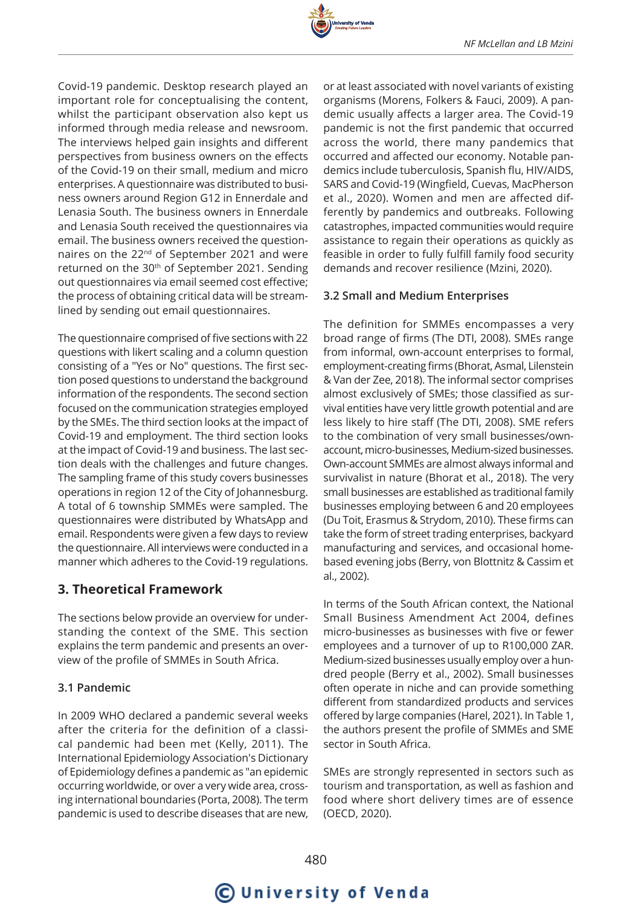

Covid-19 pandemic. Desktop research played an important role for conceptualising the content, whilst the participant observation also kept us informed through media release and newsroom. The interviews helped gain insights and different perspectives from business owners on the effects of the Covid-19 on their small, medium and micro enterprises. A questionnaire was distributed to business owners around Region G12 in Ennerdale and Lenasia South. The business owners in Ennerdale and Lenasia South received the questionnaires via email. The business owners received the questionnaires on the 22<sup>nd</sup> of September 2021 and were returned on the 30<sup>th</sup> of September 2021. Sending out questionnaires via email seemed cost effective; the process of obtaining critical data will be streamlined by sending out email questionnaires.

The questionnaire comprised of five sections with 22 questions with likert scaling and a column question consisting of a "Yes or No" questions. The first section posed questions to understand the background information of the respondents. The second section focused on the communication strategies employed by the SMEs. The third section looks at the impact of Covid-19 and employment. The third section looks at the impact of Covid-19 and business. The last section deals with the challenges and future changes. The sampling frame of this study covers businesses operations in region 12 of the City of Johannesburg. A total of 6 township SMMEs were sampled. The questionnaires were distributed by WhatsApp and email. Respondents were given a few days to review the questionnaire. All interviews were conducted in a manner which adheres to the Covid-19 regulations.

## **3. Theoretical Framework**

The sections below provide an overview for understanding the context of the SME. This section explains the term pandemic and presents an overview of the profile of SMMEs in South Africa.

#### **3.1 Pandemic**

In 2009 WHO declared a pandemic several weeks after the criteria for the definition of a classical pandemic had been met (Kelly, 2011). The International Epidemiology Association's Dictionary of Epidemiology defines a pandemic as "an epidemic occurring worldwide, or over a very wide area, crossing international boundaries (Porta, 2008). The term pandemic is used to describe diseases that are new,

or at least associated with novel variants of existing organisms (Morens, Folkers & Fauci, 2009). A pandemic usually affects a larger area. The Covid-19 pandemic is not the first pandemic that occurred across the world, there many pandemics that occurred and affected our economy. Notable pandemics include tuberculosis, Spanish flu, HIV/AIDS, SARS and Covid-19 (Wingfield, Cuevas, MacPherson et al., 2020). Women and men are affected differently by pandemics and outbreaks. Following catastrophes, impacted communities would require assistance to regain their operations as quickly as feasible in order to fully fulfill family food security demands and recover resilience (Mzini, 2020).

#### **3.2 Small and Medium Enterprises**

The definition for SMMEs encompasses a very broad range of firms (The DTI, 2008). SMEs range from informal, own-account enterprises to formal, employment-creating firms (Bhorat, Asmal, Lilenstein & Van der Zee, 2018). The informal sector comprises almost exclusively of SMEs; those classified as survival entities have very little growth potential and are less likely to hire staff (The DTI, 2008). SME refers to the combination of very small businesses/ownaccount, micro-businesses, Medium-sized businesses. Own-account SMMEs are almost always informal and survivalist in nature (Bhorat et al., 2018). The very small businesses are established as traditional family businesses employing between 6 and 20 employees (Du Toit, Erasmus & Strydom, 2010). These firms can take the form of street trading enterprises, backyard manufacturing and services, and occasional homebased evening jobs (Berry, von Blottnitz & Cassim et al., 2002).

In terms of the South African context, the National Small Business Amendment Act 2004, defines micro-businesses as businesses with five or fewer employees and a turnover of up to R100,000 ZAR. Medium-sized businesses usually employ over a hundred people (Berry et al., 2002). Small businesses often operate in niche and can provide something different from standardized products and services offered by large companies (Harel, 2021). In Table 1, the authors present the profile of SMMEs and SME sector in South Africa.

SMEs are strongly represented in sectors such as tourism and transportation, as well as fashion and food where short delivery times are of essence (OECD, 2020).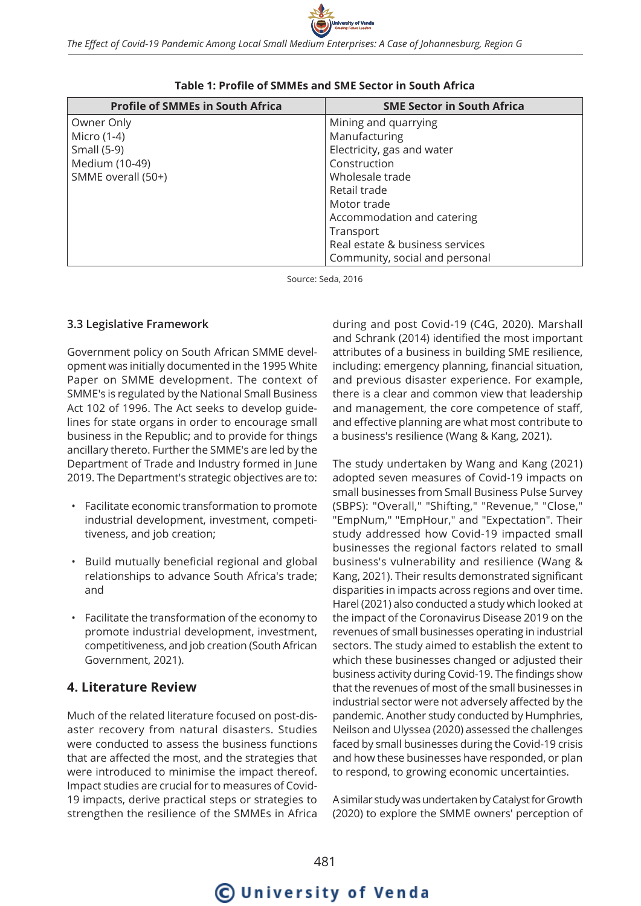

| <b>Profile of SMMEs in South Africa</b> | <b>SME Sector in South Africa</b> |
|-----------------------------------------|-----------------------------------|
| Owner Only                              | Mining and quarrying              |
| Micro (1-4)                             | Manufacturing                     |
| Small (5-9)                             | Electricity, gas and water        |
| Medium (10-49)                          | Construction                      |
| SMME overall (50+)                      | Wholesale trade                   |
|                                         | Retail trade                      |
|                                         | Motor trade                       |
|                                         | Accommodation and catering        |
|                                         | Transport                         |
|                                         | Real estate & business services   |
|                                         | Community, social and personal    |

#### **Table 1: Profile of SMMEs and SME Sector in South Africa**

Source: Seda, 2016

#### **3.3 Legislative Framework**

Government policy on South African SMME development was initially documented in the 1995 White Paper on SMME development. The context of SMME's is regulated by the National Small Business Act 102 of 1996. The Act seeks to develop guidelines for state organs in order to encourage small business in the Republic; and to provide for things ancillary thereto. Further the SMME's are led by the Department of Trade and Industry formed in June 2019. The Department's strategic objectives are to:

- Facilitate economic transformation to promote industrial development, investment, competitiveness, and job creation;
- Build mutually beneficial regional and global relationships to advance South Africa's trade; and
- Facilitate the transformation of the economy to promote industrial development, investment, competitiveness, and job creation (South African Government, 2021).

## **4. Literature Review**

Much of the related literature focused on post-disaster recovery from natural disasters. Studies were conducted to assess the business functions that are affected the most, and the strategies that were introduced to minimise the impact thereof. Impact studies are crucial for to measures of Covid-19 impacts, derive practical steps or strategies to strengthen the resilience of the SMMEs in Africa

during and post Covid-19 (C4G, 2020). Marshall and Schrank (2014) identified the most important attributes of a business in building SME resilience, including: emergency planning, financial situation, and previous disaster experience. For example, there is a clear and common view that leadership and management, the core competence of staff, and effective planning are what most contribute to a business's resilience (Wang & Kang, 2021).

The study undertaken by Wang and Kang (2021) adopted seven measures of Covid-19 impacts on small businesses from Small Business Pulse Survey (SBPS): "Overall," "Shifting," "Revenue," "Close," "EmpNum," "EmpHour," and "Expectation". Their study addressed how Covid-19 impacted small businesses the regional factors related to small business's vulnerability and resilience (Wang & Kang, 2021). Their results demonstrated significant disparities in impacts across regions and over time. Harel (2021) also conducted a study which looked at the impact of the Coronavirus Disease 2019 on the revenues of small businesses operating in industrial sectors. The study aimed to establish the extent to which these businesses changed or adjusted their business activity during Covid-19. The findings show that the revenues of most of the small businesses in industrial sector were not adversely affected by the pandemic. Another study conducted by Humphries, Neilson and Ulyssea (2020) assessed the challenges faced by small businesses during the Covid-19 crisis and how these businesses have responded, or plan to respond, to growing economic uncertainties.

A similar study was undertaken by Catalyst for Growth (2020) to explore the SMME owners' perception of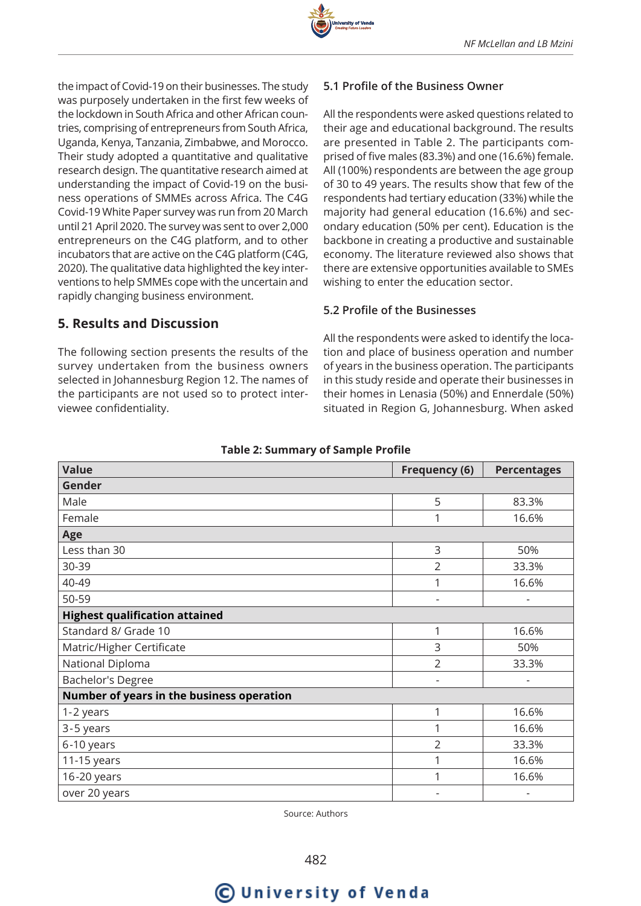

the impact of Covid-19 on their businesses. The study was purposely undertaken in the first few weeks of the lockdown in South Africa and other African countries, comprising of entrepreneurs from South Africa, Uganda, Kenya, Tanzania, Zimbabwe, and Morocco. Their study adopted a quantitative and qualitative research design. The quantitative research aimed at understanding the impact of Covid-19 on the business operations of SMMEs across Africa. The C4G Covid-19 White Paper survey was run from 20 March until 21 April 2020. The survey was sent to over 2,000 entrepreneurs on the C4G platform, and to other incubators that are active on the C4G platform (C4G, 2020). The qualitative data highlighted the key interventions to help SMMEs cope with the uncertain and rapidly changing business environment.

## **5. Results and Discussion**

The following section presents the results of the survey undertaken from the business owners selected in Johannesburg Region 12. The names of the participants are not used so to protect interviewee confidentiality.

#### **5.1 Profile of the Business Owner**

All the respondents were asked questions related to their age and educational background. The results are presented in Table 2. The participants comprised of five males (83.3%) and one (16.6%) female. All (100%) respondents are between the age group of 30 to 49 years. The results show that few of the respondents had tertiary education (33%) while the majority had general education (16.6%) and secondary education (50% per cent). Education is the backbone in creating a productive and sustainable economy. The literature reviewed also shows that there are extensive opportunities available to SMEs wishing to enter the education sector.

#### **5.2 Profile of the Businesses**

All the respondents were asked to identify the location and place of business operation and number of years in the business operation. The participants in this study reside and operate their businesses in their homes in Lenasia (50%) and Ennerdale (50%) situated in Region G, Johannesburg. When asked

| <b>Value</b>                              | <b>Frequency (6)</b>     |                          |  |  |  |  |
|-------------------------------------------|--------------------------|--------------------------|--|--|--|--|
| Gender                                    |                          |                          |  |  |  |  |
| Male                                      | 5                        | 83.3%                    |  |  |  |  |
| Female                                    | 1                        | 16.6%                    |  |  |  |  |
| Age                                       |                          |                          |  |  |  |  |
| Less than 30                              | 3                        | 50%                      |  |  |  |  |
| 30-39                                     | $\overline{2}$           | 33.3%                    |  |  |  |  |
| 40-49                                     | 1                        | 16.6%                    |  |  |  |  |
| 50-59                                     | $\overline{\phantom{a}}$ | $\overline{\phantom{a}}$ |  |  |  |  |
| <b>Highest qualification attained</b>     |                          |                          |  |  |  |  |
| Standard 8/ Grade 10                      | 1                        | 16.6%                    |  |  |  |  |
| Matric/Higher Certificate                 | 3                        | 50%                      |  |  |  |  |
| National Diploma                          | $\overline{2}$           | 33.3%                    |  |  |  |  |
| Bachelor's Degree                         | $\overline{\phantom{a}}$ |                          |  |  |  |  |
| Number of years in the business operation |                          |                          |  |  |  |  |
| 1-2 years                                 | 1                        | 16.6%                    |  |  |  |  |
| 3-5 years                                 | 1                        | 16.6%                    |  |  |  |  |
| 6-10 years                                | $\overline{2}$           | 33.3%                    |  |  |  |  |
| 11-15 years                               | 1                        | 16.6%                    |  |  |  |  |
| 16-20 years                               |                          | 16.6%                    |  |  |  |  |
| over 20 years                             |                          |                          |  |  |  |  |

#### **Table 2: Summary of Sample Profile**

Source: Authors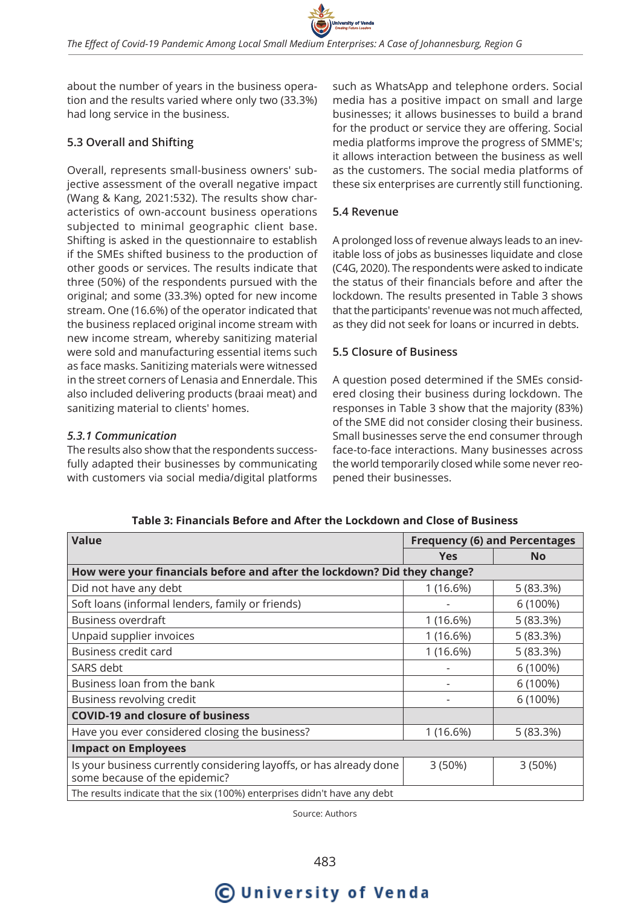about the number of years in the business operation and the results varied where only two (33.3%) had long service in the business.

#### **5.3 Overall and Shifting**

Overall, represents small-business owners' subjective assessment of the overall negative impact (Wang & Kang, 2021:532). The results show characteristics of own-account business operations subjected to minimal geographic client base. Shifting is asked in the questionnaire to establish if the SMEs shifted business to the production of other goods or services. The results indicate that three (50%) of the respondents pursued with the original; and some (33.3%) opted for new income stream. One (16.6%) of the operator indicated that the business replaced original income stream with new income stream, whereby sanitizing material were sold and manufacturing essential items such as face masks. Sanitizing materials were witnessed in the street corners of Lenasia and Ennerdale. This also included delivering products (braai meat) and sanitizing material to clients' homes.

#### *5.3.1 Communication*

The results also show that the respondents successfully adapted their businesses by communicating with customers via social media/digital platforms

such as WhatsApp and telephone orders. Social media has a positive impact on small and large businesses; it allows businesses to build a brand for the product or service they are offering. Social media platforms improve the progress of SMME's; it allows interaction between the business as well as the customers. The social media platforms of these six enterprises are currently still functioning.

#### **5.4 Revenue**

A prolonged loss of revenue always leads to an inevitable loss of jobs as businesses liquidate and close (C4G, 2020). The respondents were asked to indicate the status of their financials before and after the lockdown. The results presented in Table 3 shows that the participants' revenue was not much affected, as they did not seek for loans or incurred in debts.

#### **5.5 Closure of Business**

A question posed determined if the SMEs considered closing their business during lockdown. The responses in Table 3 show that the majority (83%) of the SME did not consider closing their business. Small businesses serve the end consumer through face-to-face interactions. Many businesses across the world temporarily closed while some never reopened their businesses.

| <b>Value</b>                                                                                         | <b>Frequency (6) and Percentages</b> |           |  |  |  |  |
|------------------------------------------------------------------------------------------------------|--------------------------------------|-----------|--|--|--|--|
|                                                                                                      | <b>Yes</b>                           | <b>No</b> |  |  |  |  |
| How were your financials before and after the lockdown? Did they change?                             |                                      |           |  |  |  |  |
| Did not have any debt                                                                                | 1 (16.6%)                            | 5(83.3%)  |  |  |  |  |
| Soft loans (informal lenders, family or friends)                                                     |                                      | 6 (100%)  |  |  |  |  |
| <b>Business overdraft</b>                                                                            | 1 (16.6%)                            | 5(83.3%)  |  |  |  |  |
| Unpaid supplier invoices                                                                             | 1(16.6%)                             | 5(83.3%)  |  |  |  |  |
| Business credit card                                                                                 | 1(16.6%)                             | 5(83.3%)  |  |  |  |  |
| SARS debt                                                                                            |                                      | 6 (100%)  |  |  |  |  |
| Business loan from the bank                                                                          |                                      | 6 (100%)  |  |  |  |  |
| Business revolving credit                                                                            |                                      | 6 (100%)  |  |  |  |  |
| <b>COVID-19 and closure of business</b>                                                              |                                      |           |  |  |  |  |
| Have you ever considered closing the business?                                                       | 1(16.6%)                             | 5 (83.3%) |  |  |  |  |
| <b>Impact on Employees</b>                                                                           |                                      |           |  |  |  |  |
| Is your business currently considering layoffs, or has already done<br>some because of the epidemic? | 3 (50%)                              | 3(50%)    |  |  |  |  |
| The results indicate that the six (100%) enterprises didn't have any debt                            |                                      |           |  |  |  |  |

**Table 3: Financials Before and After the Lockdown and Close of Business**

Source: Authors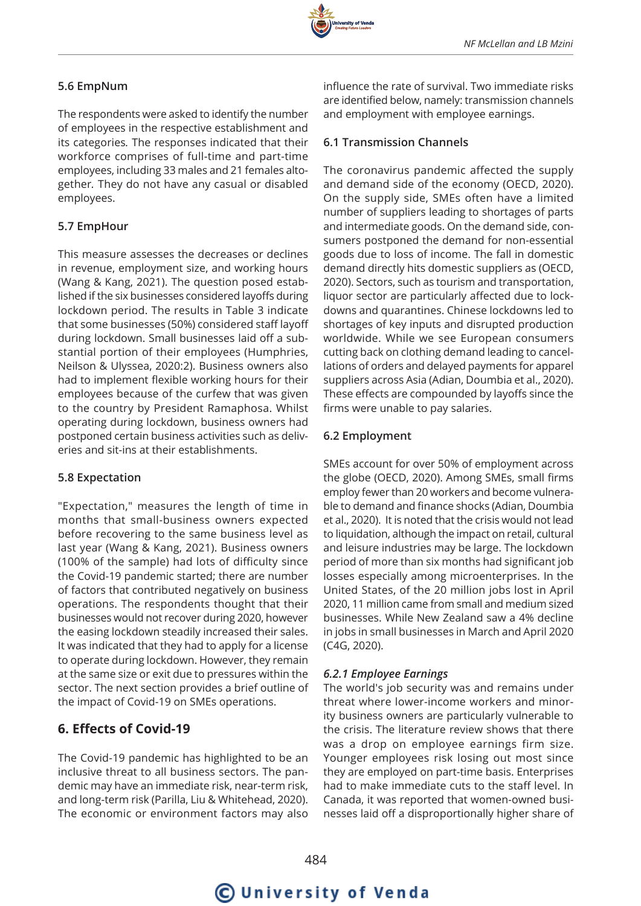## **5.6 EmpNum**

The respondents were asked to identify the number of employees in the respective establishment and its categories*.* The responses indicated that their workforce comprises of full-time and part-time employees, including 33 males and 21 females altogether*.* They do not have any casual or disabled employees.

#### **5.7 EmpHour**

This measure assesses the decreases or declines in revenue, employment size, and working hours (Wang & Kang, 2021). The question posed established if the six businesses considered layoffs during lockdown period. The results in Table 3 indicate that some businesses (50%) considered staff layoff during lockdown. Small businesses laid off a substantial portion of their employees (Humphries, Neilson & Ulyssea, 2020:2). Business owners also had to implement flexible working hours for their employees because of the curfew that was given to the country by President Ramaphosa. Whilst operating during lockdown, business owners had postponed certain business activities such as deliveries and sit-ins at their establishments.

#### **5.8 Expectation**

"Expectation," measures the length of time in months that small-business owners expected before recovering to the same business level as last year (Wang & Kang, 2021). Business owners (100% of the sample) had lots of difficulty since the Covid-19 pandemic started; there are number of factors that contributed negatively on business operations. The respondents thought that their businesses would not recover during 2020, however the easing lockdown steadily increased their sales. It was indicated that they had to apply for a license to operate during lockdown. However, they remain at the same size or exit due to pressures within the sector. The next section provides a brief outline of the impact of Covid-19 on SMEs operations.

## **6. Effects of Covid-19**

The Covid-19 pandemic has highlighted to be an inclusive threat to all business sectors. The pandemic may have an immediate risk, near-term risk, and long-term risk (Parilla, Liu & Whitehead, 2020). The economic or environment factors may also

influence the rate of survival. Two immediate risks are identified below, namely: transmission channels and employment with employee earnings.

#### **6.1 Transmission Channels**

The coronavirus pandemic affected the supply and demand side of the economy (OECD, 2020). On the supply side, SMEs often have a limited number of suppliers leading to shortages of parts and intermediate goods. On the demand side, consumers postponed the demand for non-essential goods due to loss of income. The fall in domestic demand directly hits domestic suppliers as (OECD, 2020). Sectors, such as tourism and transportation, liquor sector are particularly affected due to lockdowns and quarantines. Chinese lockdowns led to shortages of key inputs and disrupted production worldwide. While we see European consumers cutting back on clothing demand leading to cancellations of orders and delayed payments for apparel suppliers across Asia (Adian, Doumbia et al., 2020). These effects are compounded by layoffs since the firms were unable to pay salaries.

#### **6.2 Employment**

SMEs account for over 50% of employment across the globe (OECD, 2020). Among SMEs, small firms employ fewer than 20 workers and become vulnerable to demand and finance shocks (Adian, Doumbia et al., 2020). It is noted that the crisis would not lead to liquidation, although the impact on retail, cultural and leisure industries may be large. The lockdown period of more than six months had significant job losses especially among microenterprises. In the United States, of the 20 million jobs lost in April 2020, 11 million came from small and medium sized businesses. While New Zealand saw a 4% decline in jobs in small businesses in March and April 2020 (C4G, 2020).

### *6.2.1 Employee Earnings*

The world's job security was and remains under threat where lower-income workers and minority business owners are particularly vulnerable to the crisis. The literature review shows that there was a drop on employee earnings firm size. Younger employees risk losing out most since they are employed on part-time basis. Enterprises had to make immediate cuts to the staff level. In Canada, it was reported that women-owned businesses laid off a disproportionally higher share of

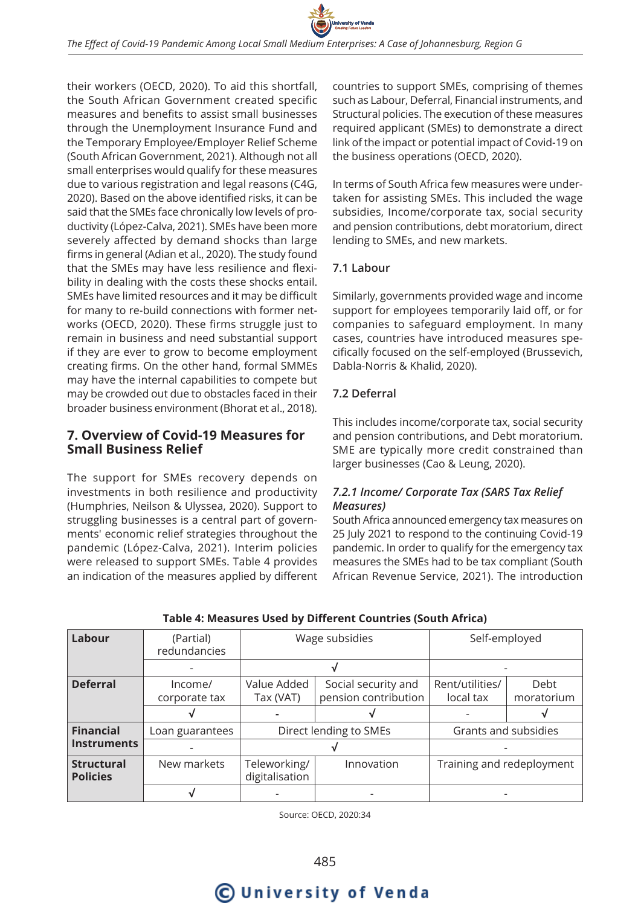

their workers (OECD, 2020). To aid this shortfall, the South African Government created specific measures and benefits to assist small businesses through the Unemployment Insurance Fund and the Temporary Employee/Employer Relief Scheme (South African Government, 2021). Although not all small enterprises would qualify for these measures due to various registration and legal reasons (C4G, 2020). Based on the above identified risks, it can be said that the SMEs face chronically low levels of productivity (López-Calva, 2021). SMEs have been more severely affected by demand shocks than large firms in general (Adian et al., 2020). The study found that the SMEs may have less resilience and flexibility in dealing with the costs these shocks entail. SMEs have limited resources and it may be difficult for many to re-build connections with former networks (OECD, 2020). These firms struggle just to remain in business and need substantial support if they are ever to grow to become employment creating firms. On the other hand, formal SMMEs may have the internal capabilities to compete but may be crowded out due to obstacles faced in their broader business environment (Bhorat et al., 2018).

## **7. Overview of Covid-19 Measures for Small Business Relief**

The support for SMEs recovery depends on investments in both resilience and productivity (Humphries, Neilson & Ulyssea, 2020). Support to struggling businesses is a central part of governments' economic relief strategies throughout the pandemic (López-Calva, 2021). Interim policies were released to support SMEs. Table 4 provides an indication of the measures applied by different

countries to support SMEs, comprising of themes such as Labour, Deferral, Financial instruments, and Structural policies. The execution of these measures required applicant (SMEs) to demonstrate a direct link of the impact or potential impact of Covid-19 on the business operations (OECD, 2020).

In terms of South Africa few measures were undertaken for assisting SMEs. This included the wage subsidies, Income/corporate tax, social security and pension contributions, debt moratorium, direct lending to SMEs, and new markets.

#### **7.1 Labour**

Similarly, governments provided wage and income support for employees temporarily laid off, or for companies to safeguard employment. In many cases, countries have introduced measures specifically focused on the self-employed (Brussevich, Dabla-Norris & Khalid, 2020).

#### **7.2 Deferral**

This includes income/corporate tax, social security and pension contributions, and Debt moratorium. SME are typically more credit constrained than larger businesses (Cao & Leung, 2020).

#### *7.2.1 Income/ Corporate Tax (SARS Tax Relief Measures)*

South Africa announced emergency tax measures on 25 July 2021 to respond to the continuing Covid-19 pandemic. In order to qualify for the emergency tax measures the SMEs had to be tax compliant (South African Revenue Service, 2021). The introduction

| Labour                               | (Partial)<br>redundancies | Wage subsidies                 |                                             | Self-employed                |                    |
|--------------------------------------|---------------------------|--------------------------------|---------------------------------------------|------------------------------|--------------------|
|                                      |                           |                                |                                             |                              |                    |
| <b>Deferral</b>                      | Income/<br>corporate tax  | Value Added<br>Tax (VAT)       | Social security and<br>pension contribution | Rent/utilities/<br>local tax | Debt<br>moratorium |
|                                      |                           |                                |                                             |                              |                    |
| <b>Financial</b>                     | Loan guarantees           | Direct lending to SMEs         |                                             | Grants and subsidies         |                    |
| <b>Instruments</b>                   |                           |                                |                                             |                              |                    |
| <b>Structural</b><br><b>Policies</b> | New markets               | Teleworking/<br>digitalisation | Innovation                                  | Training and redeployment    |                    |
|                                      |                           |                                |                                             |                              |                    |

#### **Table 4: Measures Used by Different Countries (South Africa)**

Source: OECD, 2020:34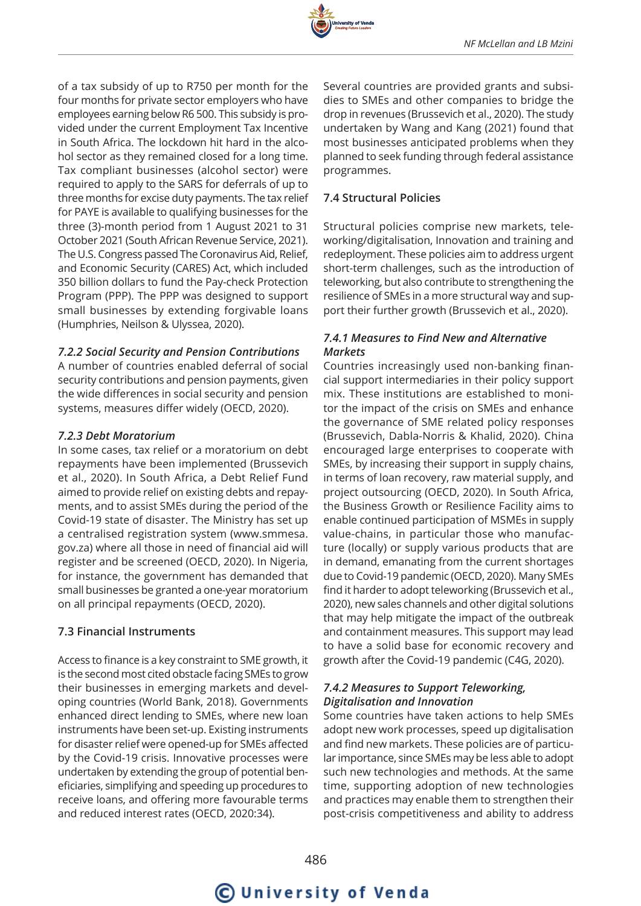

of a tax subsidy of up to R750 per month for the four months for private sector employers who have employees earning below R6 500. This subsidy is provided under the current Employment Tax Incentive in South Africa. The lockdown hit hard in the alcohol sector as they remained closed for a long time. Tax compliant businesses (alcohol sector) were required to apply to the SARS for deferrals of up to three months for excise duty payments. The tax relief for PAYE is available to qualifying businesses for the three (3)-month period from 1 August 2021 to 31 October 2021 (South African Revenue Service, 2021). The U.S. Congress passed The Coronavirus Aid, Relief, and Economic Security (CARES) Act, which included 350 billion dollars to fund the Pay-check Protection Program (PPP). The PPP was designed to support small businesses by extending forgivable loans (Humphries, Neilson & Ulyssea, 2020).

#### *7.2.2 Social Security and Pension Contributions*

A number of countries enabled deferral of social security contributions and pension payments, given the wide differences in social security and pension systems, measures differ widely (OECD, 2020).

#### *7.2.3 Debt Moratorium*

In some cases, tax relief or a moratorium on debt repayments have been implemented (Brussevich et al., 2020). In South Africa, a Debt Relief Fund aimed to provide relief on existing debts and repayments, and to assist SMEs during the period of the Covid-19 state of disaster. The Ministry has set up a centralised registration system (www.smmesa. gov.za) where all those in need of financial aid will register and be screened (OECD, 2020). In Nigeria, for instance, the government has demanded that small businesses be granted a one-year moratorium on all principal repayments (OECD, 2020).

#### **7.3 Financial Instruments**

Access to finance is a key constraint to SME growth, it is the second most cited obstacle facing SMEs to grow their businesses in emerging markets and developing countries (World Bank, 2018). Governments enhanced direct lending to SMEs, where new loan instruments have been set-up. Existing instruments for disaster relief were opened-up for SMEs affected by the Covid-19 crisis. Innovative processes were undertaken by extending the group of potential beneficiaries, simplifying and speeding up procedures to receive loans, and offering more favourable terms and reduced interest rates (OECD, 2020:34).

Several countries are provided grants and subsidies to SMEs and other companies to bridge the drop in revenues (Brussevich et al., 2020). The study undertaken by Wang and Kang (2021) found that most businesses anticipated problems when they planned to seek funding through federal assistance programmes.

#### **7.4 Structural Policies**

Structural policies comprise new markets, teleworking/digitalisation, Innovation and training and redeployment. These policies aim to address urgent short-term challenges, such as the introduction of teleworking, but also contribute to strengthening the resilience of SMEs in a more structural way and support their further growth (Brussevich et al., 2020).

#### *7.4.1 Measures to Find New and Alternative Markets*

Countries increasingly used non-banking financial support intermediaries in their policy support mix. These institutions are established to monitor the impact of the crisis on SMEs and enhance the governance of SME related policy responses (Brussevich, Dabla-Norris & Khalid, 2020). China encouraged large enterprises to cooperate with SMEs, by increasing their support in supply chains, in terms of loan recovery, raw material supply, and project outsourcing (OECD, 2020). In South Africa, the Business Growth or Resilience Facility aims to enable continued participation of MSMEs in supply value-chains, in particular those who manufacture (locally) or supply various products that are in demand, emanating from the current shortages due to Covid-19 pandemic (OECD, 2020). Many SMEs find it harder to adopt teleworking (Brussevich et al., 2020), new sales channels and other digital solutions that may help mitigate the impact of the outbreak and containment measures. This support may lead to have a solid base for economic recovery and growth after the Covid-19 pandemic (C4G, 2020).

#### *7.4.2 Measures to Support Teleworking, Digitalisation and Innovation*

Some countries have taken actions to help SMEs adopt new work processes, speed up digitalisation and find new markets. These policies are of particular importance, since SMEs may be less able to adopt such new technologies and methods. At the same time, supporting adoption of new technologies and practices may enable them to strengthen their post-crisis competitiveness and ability to address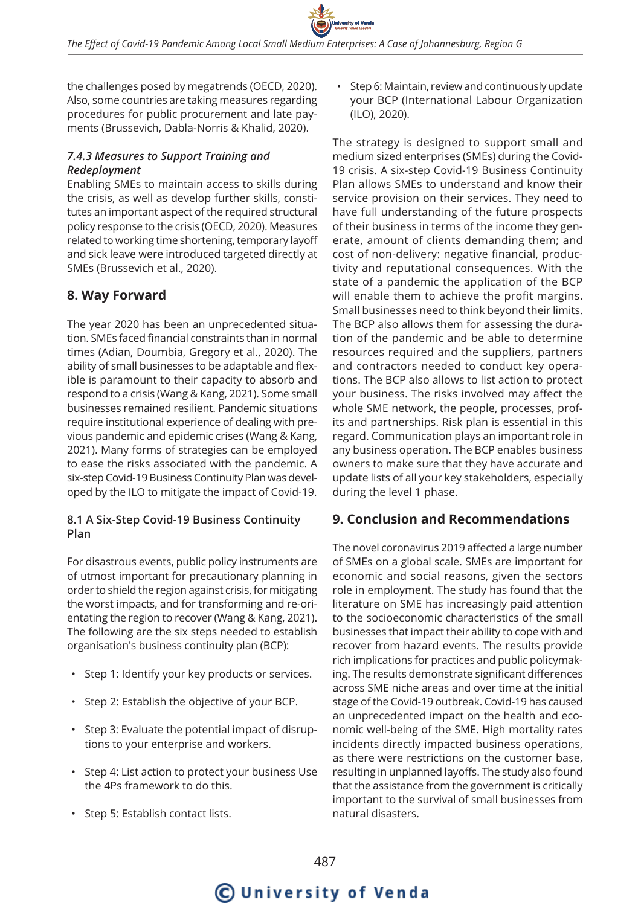the challenges posed by megatrends (OECD, 2020). Also, some countries are taking measures regarding procedures for public procurement and late payments (Brussevich, Dabla-Norris & Khalid, 2020).

#### *7.4.3 Measures to Support Training and Redeployment*

Enabling SMEs to maintain access to skills during the crisis, as well as develop further skills, constitutes an important aspect of the required structural policy response to the crisis (OECD, 2020). Measures related to working time shortening, temporary layoff and sick leave were introduced targeted directly at SMEs (Brussevich et al., 2020).

## **8. Way Forward**

The year 2020 has been an unprecedented situation. SMEs faced financial constraints than in normal times (Adian, Doumbia, Gregory et al., 2020). The ability of small businesses to be adaptable and flexible is paramount to their capacity to absorb and respond to a crisis (Wang & Kang, 2021). Some small businesses remained resilient. Pandemic situations require institutional experience of dealing with previous pandemic and epidemic crises (Wang & Kang, 2021). Many forms of strategies can be employed to ease the risks associated with the pandemic. A six-step Covid-19 Business Continuity Plan was developed by the ILO to mitigate the impact of Covid-19.

#### **8.1 A Six-Step Covid-19 Business Continuity Plan**

For disastrous events, public policy instruments are of utmost important for precautionary planning in order to shield the region against crisis, for mitigating the worst impacts, and for transforming and re-orientating the region to recover (Wang & Kang, 2021). The following are the six steps needed to establish organisation's business continuity plan (BCP):

- Step 1: Identify your key products or services.
- Step 2: Establish the objective of your BCP.
- Step 3: Evaluate the potential impact of disruptions to your enterprise and workers.
- Step 4: List action to protect your business Use the 4Ps framework to do this.
- Step 5: Establish contact lists.

• Step 6: Maintain, review and continuously update your BCP (International Labour Organization (ILO), 2020).

The strategy is designed to support small and medium sized enterprises (SMEs) during the Covid-19 crisis. A six-step Covid-19 Business Continuity Plan allows SMEs to understand and know their service provision on their services. They need to have full understanding of the future prospects of their business in terms of the income they generate, amount of clients demanding them; and cost of non-delivery: negative financial, productivity and reputational consequences. With the state of a pandemic the application of the BCP will enable them to achieve the profit margins. Small businesses need to think beyond their limits. The BCP also allows them for assessing the duration of the pandemic and be able to determine resources required and the suppliers, partners and contractors needed to conduct key operations. The BCP also allows to list action to protect your business. The risks involved may affect the whole SME network, the people, processes, profits and partnerships. Risk plan is essential in this regard. Communication plays an important role in any business operation. The BCP enables business owners to make sure that they have accurate and update lists of all your key stakeholders, especially during the level 1 phase.

### **9. Conclusion and Recommendations**

The novel coronavirus 2019 affected a large number of SMEs on a global scale. SMEs are important for economic and social reasons, given the sectors role in employment. The study has found that the literature on SME has increasingly paid attention to the socioeconomic characteristics of the small businesses that impact their ability to cope with and recover from hazard events. The results provide rich implications for practices and public policymaking. The results demonstrate significant differences across SME niche areas and over time at the initial stage of the Covid-19 outbreak. Covid-19 has caused an unprecedented impact on the health and economic well-being of the SME. High mortality rates incidents directly impacted business operations, as there were restrictions on the customer base, resulting in unplanned layoffs. The study also found that the assistance from the government is critically important to the survival of small businesses from natural disasters.